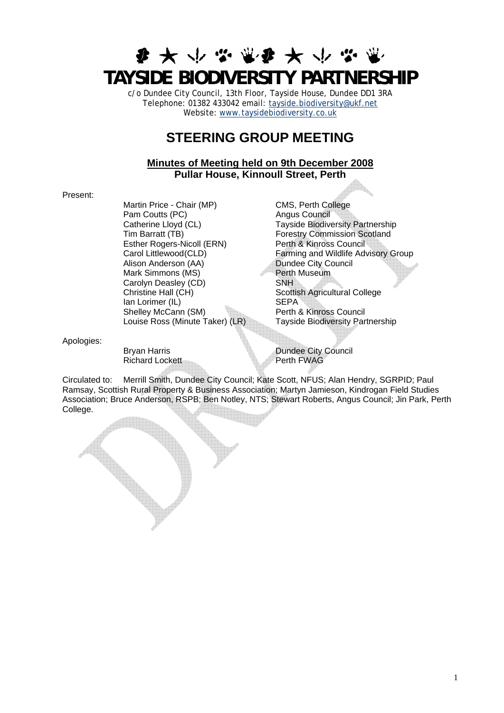# **まみやなまみみやな TAYSIDE BIODIVERSITY PARTNERSHIP**

c/o Dundee City Council, 13th Floor, Tayside House, Dundee DD1 3RA Telephone: 01382 433042 email: [tayside.biodiversity@ukf.net](mailto:tayside.biodiversity@ukf.net) Website: www.taysidebiodiversity.co.uk

# **STEERING GROUP MEETING**

### **Minutes of Meeting held on 9th December 2008 Pullar House, Kinnoull Street, Perth**

#### Present:

Martin Price - Chair (MP) CMS, Perth College<br>
Pam Coutts (PC) CMS, Angus Council Pam Coutts (PC) Catherine Lloyd (CL) Tayside Biodiversity Partnership Tim Barratt (TB) Tim Barratt (TB) Forestry Commission Scotland Esther Rogers-Nicoll (ERN)<br>
Carol Littlewood (CLD) Farming and Wildlife Adv Alison Anderson (AA) Dundee City Council Mark Simmons (MS) Perth Museum<br>Carolyn Deasley (CD) SNH Carolyn Deasley (CD) Christine Hall (CH) Christine Hall (CH) Scottish Agricultural College Ian Lorimer (IL)<br>
Shelley McCann (SM)<br>
Shelley McCann (SM)<br>
Shelley McCann (SM) Shelley McCann (SM)<br>Louise Ross (Minute Taker) (LR)

Farming and Wildlife Advisory Group Tayside Biodiversity Partnership

Apologies:

Richard Lockett Perth FWAG

Bryan Harris **Dundee City Council** 

Circulated to: Merrill Smith, Dundee City Council; Kate Scott, NFUS; Alan Hendry, SGRPID; Paul Ramsay, Scottish Rural Property & Business Association; Martyn Jamieson, Kindrogan Field Studies Association; Bruce Anderson, RSPB; Ben Notley, NTS; Stewart Roberts, Angus Council; Jin Park, Perth College.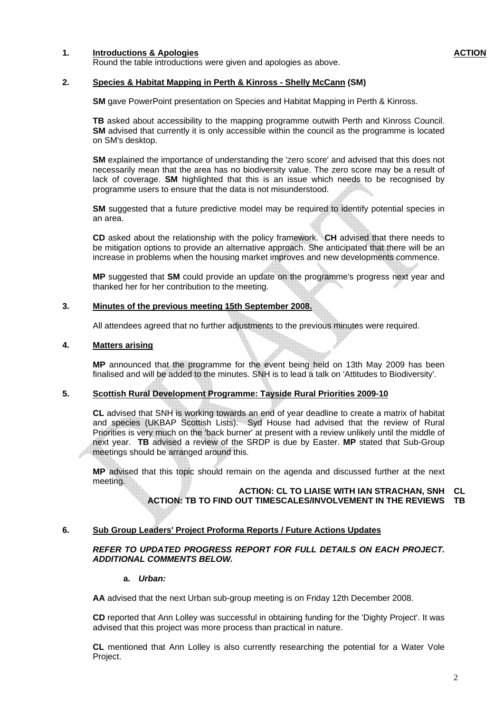#### **1. Introductions & Apologies**

Round the table introductions were given and apologies as above.

#### **2. Species & Habitat Mapping in Perth & Kinross - Shelly McCann (SM)**

**SM** gave PowerPoint presentation on Species and Habitat Mapping in Perth & Kinross.

**TB** asked about accessibility to the mapping programme outwith Perth and Kinross Council. **SM** advised that currently it is only accessible within the council as the programme is located on SM's desktop.

**SM** explained the importance of understanding the 'zero score' and advised that this does not necessarily mean that the area has no biodiversity value. The zero score may be a result of lack of coverage. **SM** highlighted that this is an issue which needs to be recognised by programme users to ensure that the data is not misunderstood.

**SM** suggested that a future predictive model may be required to identify potential species in an area.

**CD** asked about the relationship with the policy framework. **CH** advised that there needs to be mitigation options to provide an alternative approach. She anticipated that there will be an increase in problems when the housing market improves and new developments commence.

**MP** suggested that **SM** could provide an update on the programme's progress next year and thanked her for her contribution to the meeting.

#### **3. Minutes of the previous meeting 15th September 2008.**

All attendees agreed that no further adjustments to the previous minutes were required.

#### **4. Matters arising**

**MP** announced that the programme for the event being held on 13th May 2009 has been finalised and will be added to the minutes. SNH is to lead a talk on 'Attitudes to Biodiversity'.

#### **5. Scottish Rural Development Programme: Tayside Rural Priorities 2009-10**

**CL** advised that SNH is working towards an end of year deadline to create a matrix of habitat and species (UKBAP Scottish Lists). Syd House had advised that the review of Rural Priorities is very much on the 'back burner' at present with a review unlikely until the middle of next year. **TB** advised a review of the SRDP is due by Easter. **MP** stated that Sub-Group meetings should be arranged around this.

**MP** advised that this topic should remain on the agenda and discussed further at the next meeting.

### **ACTION: CL TO LIAISE WITH IAN STRACHAN, SNH CL ACTION: TB TO FIND OUT TIMESCALES/INVOLVEMENT IN THE REVIEWS TB**

#### **6. Sub Group Leaders' Project Proforma Reports / Future Actions Updates**

#### *REFER TO UPDATED PROGRESS REPORT FOR FULL DETAILS ON EACH PROJECT. ADDITIONAL COMMENTS BELOW.*

#### **a.** *Urban:*

**AA** advised that the next Urban sub-group meeting is on Friday 12th December 2008.

**CD** reported that Ann Lolley was successful in obtaining funding for the 'Dighty Project'. It was advised that this project was more process than practical in nature.

**CL** mentioned that Ann Lolley is also currently researching the potential for a Water Vole Project.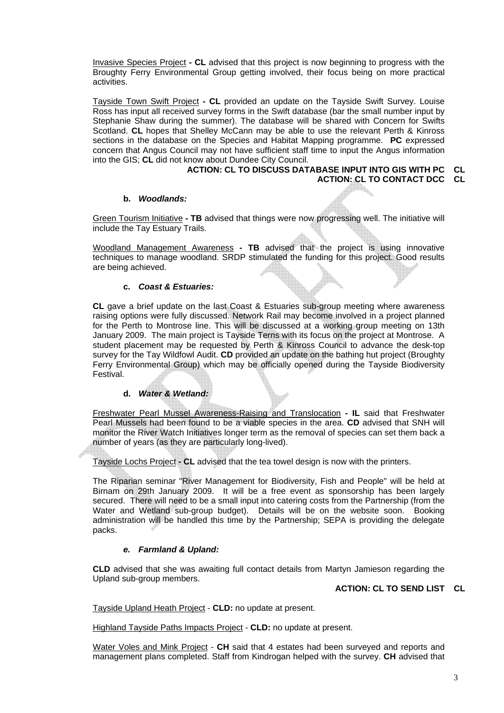Invasive Species Project **- CL** advised that this project is now beginning to progress with the Broughty Ferry Environmental Group getting involved, their focus being on more practical activities.

Tayside Town Swift Project **- CL** provided an update on the Tayside Swift Survey. Louise Ross has input all received survey forms in the Swift database (bar the small number input by Stephanie Shaw during the summer). The database will be shared with Concern for Swifts Scotland. **CL** hopes that Shelley McCann may be able to use the relevant Perth & Kinross sections in the database on the Species and Habitat Mapping programme. **PC** expressed concern that Angus Council may not have sufficient staff time to input the Angus information into the GIS; **CL** did not know about Dundee City Council.

#### **ACTION: CL TO DISCUSS DATABASE INPUT INTO GIS WITH PC ACTION: CL TO CONTACT DCC CL CL**

#### **b.** *Woodlands:*

Green Tourism Initiative **- TB** advised that things were now progressing well. The initiative will include the Tay Estuary Trails.

Woodland Management Awareness **- TB** advised that the project is using innovative techniques to manage woodland. SRDP stimulated the funding for this project. Good results are being achieved.

#### **c.** *Coast & Estuaries:*

**CL** gave a brief update on the last Coast & Estuaries sub-group meeting where awareness raising options were fully discussed. Network Rail may become involved in a project planned for the Perth to Montrose line. This will be discussed at a working group meeting on 13th January 2009. The main project is Tayside Terns with its focus on the project at Montrose. A student placement may be requested by Perth & Kinross Council to advance the desk-top survey for the Tay Wildfowl Audit. **CD** provided an update on the bathing hut project (Broughty Ferry Environmental Group) which may be officially opened during the Tayside Biodiversity Festival.

### **d.** *Water & Wetland:*

Freshwater Pearl Mussel Awareness-Raising and Translocation **- IL** said that Freshwater Pearl Mussels had been found to be a viable species in the area. **CD** advised that SNH will monitor the River Watch Initiatives longer term as the removal of species can set them back a number of years (as they are particularly long-lived).

Tayside Lochs Project **- CL** advised that the tea towel design is now with the printers.

The Riparian seminar "River Management for Biodiversity, Fish and People" will be held at Birnam on 29th January 2009. It will be a free event as sponsorship has been largely secured. There will need to be a small input into catering costs from the Partnership (from the Water and Wetland sub-group budget). Details will be on the website soon. Booking administration will be handled this time by the Partnership; SEPA is providing the delegate packs.

### *e. Farmland & Upland:*

**CLD** advised that she was awaiting full contact details from Martyn Jamieson regarding the Upland sub-group members.

### **ACTION: CL TO SEND LIST CL**

Tayside Upland Heath Project - **CLD:** no update at present.

Highland Tayside Paths Impacts Project - **CLD:** no update at present.

Water Voles and Mink Project - **CH** said that 4 estates had been surveyed and reports and management plans completed. Staff from Kindrogan helped with the survey. **CH** advised that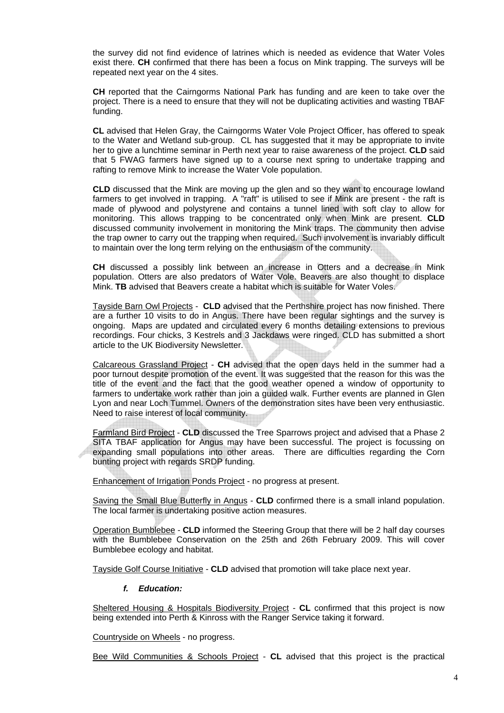the survey did not find evidence of latrines which is needed as evidence that Water Voles exist there. **CH** confirmed that there has been a focus on Mink trapping. The surveys will be repeated next year on the 4 sites.

**CH** reported that the Cairngorms National Park has funding and are keen to take over the project. There is a need to ensure that they will not be duplicating activities and wasting TBAF funding.

**CL** advised that Helen Gray, the Cairngorms Water Vole Project Officer, has offered to speak to the Water and Wetland sub-group. CL has suggested that it may be appropriate to invite her to give a lunchtime seminar in Perth next year to raise awareness of the project. **CLD** said that 5 FWAG farmers have signed up to a course next spring to undertake trapping and rafting to remove Mink to increase the Water Vole population.

**CLD** discussed that the Mink are moving up the glen and so they want to encourage lowland farmers to get involved in trapping. A "raft" is utilised to see if Mink are present - the raft is made of plywood and polystyrene and contains a tunnel lined with soft clay to allow for monitoring. This allows trapping to be concentrated only when Mink are present. **CLD** discussed community involvement in monitoring the Mink traps. The community then advise the trap owner to carry out the trapping when required. Such involvement is invariably difficult to maintain over the long term relying on the enthusiasm of the community.

**CH** discussed a possibly link between an increase in Otters and a decrease in Mink population. Otters are also predators of Water Vole. Beavers are also thought to displace Mink. **TB** advised that Beavers create a habitat which is suitable for Water Voles.

Tayside Barn Owl Projects - **CLD** advised that the Perthshire project has now finished. There are a further 10 visits to do in Angus. There have been regular sightings and the survey is ongoing. Maps are updated and circulated every 6 months detailing extensions to previous recordings. Four chicks, 3 Kestrels and 3 Jackdaws were ringed. CLD has submitted a short article to the UK Biodiversity Newsletter.

Calcareous Grassland Project - **CH** advised that the open days held in the summer had a poor turnout despite promotion of the event. It was suggested that the reason for this was the title of the event and the fact that the good weather opened a window of opportunity to farmers to undertake work rather than join a guided walk. Further events are planned in Glen Lyon and near Loch Tummel. Owners of the demonstration sites have been very enthusiastic. Need to raise interest of local community.

Farmland Bird Project - **CLD** discussed the Tree Sparrows project and advised that a Phase 2 SITA TBAF application for Angus may have been successful. The project is focussing on expanding small populations into other areas. There are difficulties regarding the Corn bunting project with regards SRDP funding.

Enhancement of Irrigation Ponds Project - no progress at present.

Saving the Small Blue Butterfly in Angus - **CLD** confirmed there is a small inland population. The local farmer is undertaking positive action measures.

Operation Bumblebee - **CLD** informed the Steering Group that there will be 2 half day courses with the Bumblebee Conservation on the 25th and 26th February 2009. This will cover Bumblebee ecology and habitat.

Tayside Golf Course Initiative - **CLD** advised that promotion will take place next year.

### *f. Education:*

Sheltered Housing & Hospitals Biodiversity Project - **CL** confirmed that this project is now being extended into Perth & Kinross with the Ranger Service taking it forward.

Countryside on Wheels - no progress.

Bee Wild Communities & Schools Project - **CL** advised that this project is the practical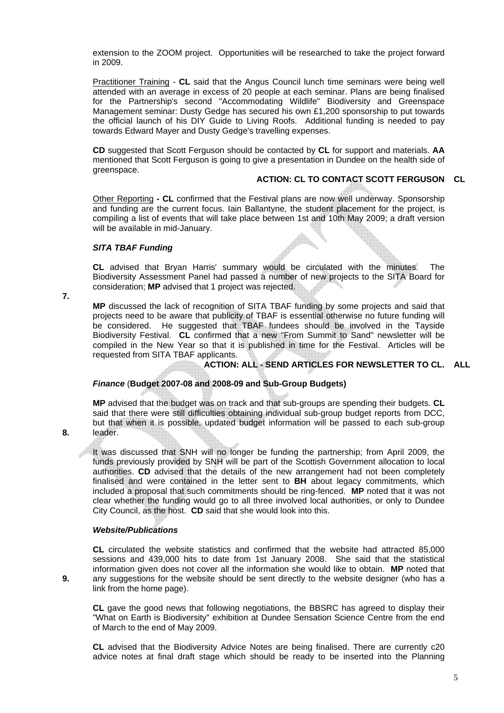extension to the ZOOM project. Opportunities will be researched to take the project forward in 2009.

Practitioner Training - **CL** said that the Angus Council lunch time seminars were being well attended with an average in excess of 20 people at each seminar. Plans are being finalised for the Partnership's second "Accommodating Wildlife" Biodiversity and Greenspace Management seminar: Dusty Gedge has secured his own £1,200 sponsorship to put towards the official launch of his DIY Guide to Living Roofs. Additional funding is needed to pay towards Edward Mayer and Dusty Gedge's travelling expenses.

**CD** suggested that Scott Ferguson should be contacted by **CL** for support and materials. **AA** mentioned that Scott Ferguson is going to give a presentation in Dundee on the health side of greenspace.

#### **ACTION: CL TO CONTACT SCOTT FERGUSON CL**

Other Reporting **- CL** confirmed that the Festival plans are now well underway. Sponsorship and funding are the current focus. Iain Ballantyne, the student placement for the project, is compiling a list of events that will take place between 1st and 10th May 2009; a draft version will be available in mid-January.

### *SITA TBAF Funding*

**CL** advised that Bryan Harris' summary would be circulated with the minutes. The Biodiversity Assessment Panel had passed a number of new projects to the SITA Board for consideration; **MP** advised that 1 project was rejected.

**7.** 

**MP** discussed the lack of recognition of SITA TBAF funding by some projects and said that projects need to be aware that publicity of TBAF is essential otherwise no future funding will be considered. He suggested that TBAF fundees should be involved in the Tayside Biodiversity Festival. **CL** confirmed that a new "From Summit to Sand" newsletter will be compiled in the New Year so that it is published in time for the Festival. Articles will be requested from SITA TBAF applicants.

**ACTION: ALL - SEND ARTICLES FOR NEWSLETTER TO CL. ALL** 

### *Finance* (**Budget 2007-08 and 2008-09 and Sub-Group Budgets)**

**MP** advised that the budget was on track and that sub-groups are spending their budgets. **CL** said that there were still difficulties obtaining individual sub-group budget reports from DCC, but that when it is possible, updated budget information will be passed to each sub-group leader.

**8.** 

**9.** 

It was discussed that SNH will no longer be funding the partnership; from April 2009, the funds previously provided by SNH will be part of the Scottish Government allocation to local authorities. **CD** advised that the details of the new arrangement had not been completely finalised and were contained in the letter sent to **BH** about legacy commitments, which included a proposal that such commitments should be ring-fenced. **MP** noted that it was not clear whether the funding would go to all three involved local authorities, or only to Dundee City Council, as the host. **CD** said that she would look into this.

### *Website/Publications*

**CL** circulated the website statistics and confirmed that the website had attracted 85,000 sessions and 439,000 hits to date from 1st January 2008. She said that the statistical information given does not cover all the information she would like to obtain. **MP** noted that any suggestions for the website should be sent directly to the website designer (who has a link from the home page).

**CL** gave the good news that following negotiations, the BBSRC has agreed to display their "What on Earth is Biodiversity" exhibition at Dundee Sensation Science Centre from the end of March to the end of May 2009.

**CL** advised that the Biodiversity Advice Notes are being finalised. There are currently c20 advice notes at final draft stage which should be ready to be inserted into the Planning

5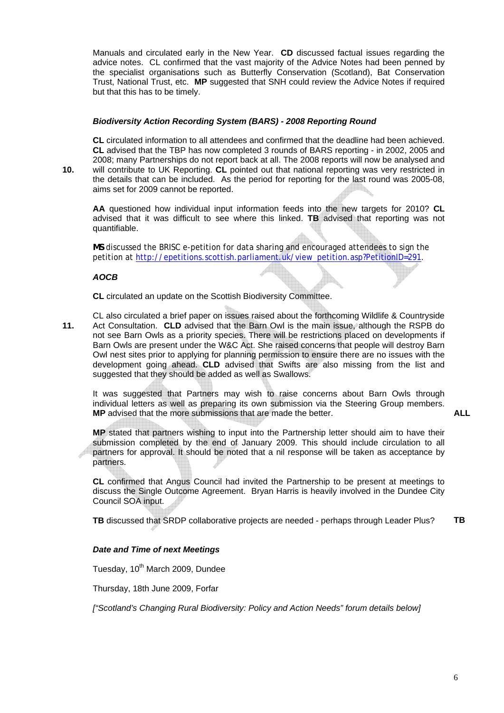Manuals and circulated early in the New Year. **CD** discussed factual issues regarding the advice notes. CL confirmed that the vast majority of the Advice Notes had been penned by the specialist organisations such as Butterfly Conservation (Scotland), Bat Conservation Trust, National Trust, etc. **MP** suggested that SNH could review the Advice Notes if required but that this has to be timely.

#### *Biodiversity Action Recording System (BARS) - 2008 Reporting Round*

**CL** circulated information to all attendees and confirmed that the deadline had been achieved. **CL** advised that the TBP has now completed 3 rounds of BARS reporting - in 2002, 2005 and 2008; many Partnerships do not report back at all. The 2008 reports will now be analysed and will contribute to UK Reporting. **CL** pointed out that national reporting was very restricted in the details that can be included. As the period for reporting for the last round was 2005-08, aims set for 2009 cannot be reported.

**AA** questioned how individual input information feeds into the new targets for 2010? **CL** advised that it was difficult to see where this linked. **TB** advised that reporting was not quantifiable.

**MS** discussed the BRISC e-petition for data sharing and encouraged attendees to sign the petition at [http://epetitions.scottish.parliament.uk/view\\_petition.asp?PetitionID=291.](http://epetitions.scottish.parliament.uk/view_petition.asp?PetitionID=291)

#### *AOCB*

**10.** 

**CL** circulated an update on the Scottish Biodiversity Committee.

**11.**  CL also circulated a brief paper on issues raised about the forthcoming Wildlife & Countryside Act Consultation. **CLD** advised that the Barn Owl is the main issue, although the RSPB do not see Barn Owls as a priority species. There will be restrictions placed on developments if Barn Owls are present under the W&C Act. She raised concerns that people will destroy Barn Owl nest sites prior to applying for planning permission to ensure there are no issues with the development going ahead. **CLD** advised that Swifts are also missing from the list and suggested that they should be added as well as Swallows.

It was suggested that Partners may wish to raise concerns about Barn Owls through individual letters as well as preparing its own submission via the Steering Group members. **MP** advised that the more submissions that are made the better.

**ALL** 

**MP** stated that partners wishing to input into the Partnership letter should aim to have their submission completed by the end of January 2009. This should include circulation to all partners for approval. It should be noted that a nil response will be taken as acceptance by partners.

**CL** confirmed that Angus Council had invited the Partnership to be present at meetings to discuss the Single Outcome Agreement. Bryan Harris is heavily involved in the Dundee City Council SOA input.

**TB** discussed that SRDP collaborative projects are needed - perhaps through Leader Plus? **TB** 

### *Date and Time of next Meetings*

Tuesday, 10<sup>th</sup> March 2009, Dundee

Thursday, 18th June 2009, Forfar

*["Scotland's Changing Rural Biodiversity: Policy and Action Needs" forum details below]*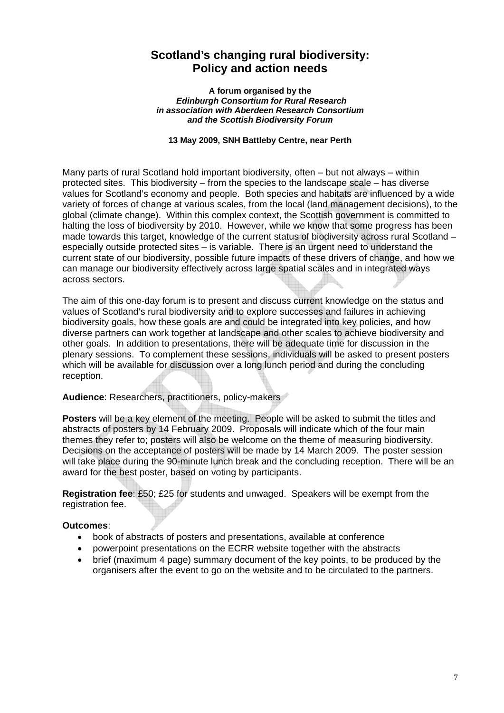## **Scotland's changing rural biodiversity: Policy and action needs**

#### **A forum organised by the**  *Edinburgh Consortium for Rural Research in association with Aberdeen Research Consortium and the Scottish Biodiversity Forum*

### **13 May 2009, SNH Battleby Centre, near Perth**

Many parts of rural Scotland hold important biodiversity, often – but not always – within protected sites. This biodiversity – from the species to the landscape scale – has diverse values for Scotland's economy and people. Both species and habitats are influenced by a wide variety of forces of change at various scales, from the local (land management decisions), to the global (climate change). Within this complex context, the Scottish government is committed to halting the loss of biodiversity by 2010. However, while we know that some progress has been made towards this target, knowledge of the current status of biodiversity across rural Scotland – especially outside protected sites – is variable. There is an urgent need to understand the current state of our biodiversity, possible future impacts of these drivers of change, and how we can manage our biodiversity effectively across large spatial scales and in integrated ways across sectors.

The aim of this one-day forum is to present and discuss current knowledge on the status and values of Scotland's rural biodiversity and to explore successes and failures in achieving biodiversity goals, how these goals are and could be integrated into key policies, and how diverse partners can work together at landscape and other scales to achieve biodiversity and other goals. In addition to presentations, there will be adequate time for discussion in the plenary sessions. To complement these sessions, individuals will be asked to present posters which will be available for discussion over a long lunch period and during the concluding reception.

### **Audience**: Researchers, practitioners, policy-makers

**Posters** will be a key element of the meeting. People will be asked to submit the titles and abstracts of posters by 14 February 2009. Proposals will indicate which of the four main themes they refer to; posters will also be welcome on the theme of measuring biodiversity. Decisions on the acceptance of posters will be made by 14 March 2009. The poster session will take place during the 90-minute lunch break and the concluding reception. There will be an award for the best poster, based on voting by participants.

**Registration fee**: £50; £25 for students and unwaged. Speakers will be exempt from the registration fee.

### **Outcomes**:

- book of abstracts of posters and presentations, available at conference
- powerpoint presentations on the ECRR website together with the abstracts
- brief (maximum 4 page) summary document of the key points, to be produced by the organisers after the event to go on the website and to be circulated to the partners.